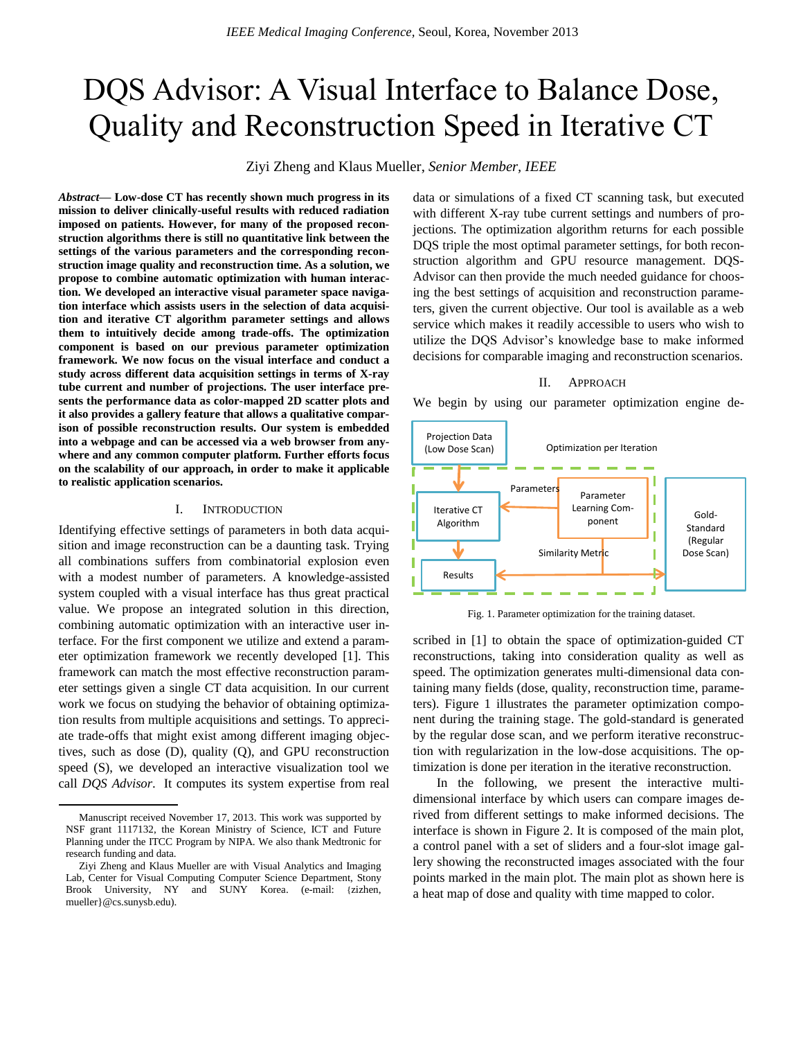# DQS Advisor: A Visual Interface to Balance Dose, Quality and Reconstruction Speed in Iterative CT

Ziyi Zheng and Klaus Mueller, *Senior Member, IEEE*

*Abstract***— Low-dose CT has recently shown much progress in its mission to deliver clinically-useful results with reduced radiation imposed on patients. However, for many of the proposed reconstruction algorithms there is still no quantitative link between the settings of the various parameters and the corresponding reconstruction image quality and reconstruction time. As a solution, we propose to combine automatic optimization with human interaction. We developed an interactive visual parameter space navigation interface which assists users in the selection of data acquisition and iterative CT algorithm parameter settings and allows them to intuitively decide among trade-offs. The optimization component is based on our previous parameter optimization framework. We now focus on the visual interface and conduct a study across different data acquisition settings in terms of X-ray tube current and number of projections. The user interface presents the performance data as color-mapped 2D scatter plots and it also provides a gallery feature that allows a qualitative comparison of possible reconstruction results. Our system is embedded into a webpage and can be accessed via a web browser from anywhere and any common computer platform. Further efforts focus on the scalability of our approach, in order to make it applicable to realistic application scenarios.**

## I. INTRODUCTION

Identifying effective settings of parameters in both data acquisition and image reconstruction can be a daunting task. Trying all combinations suffers from combinatorial explosion even with a modest number of parameters. A knowledge-assisted system coupled with a visual interface has thus great practical value. We propose an integrated solution in this direction, combining automatic optimization with an interactive user interface. For the first component we utilize and extend a parameter optimization framework we recently developed [\[1\].](#page-2-0) This framework can match the most effective reconstruction parameter settings given a single CT data acquisition. In our current work we focus on studying the behavior of obtaining optimization results from multiple acquisitions and settings. To appreciate trade-offs that might exist among different imaging objectives, such as dose (D), quality (Q), and GPU reconstruction speed (S), we developed an interactive visualization tool we call *DQS Advisor*. It computes its system expertise from real data or simulations of a fixed CT scanning task, but executed with different X-ray tube current settings and numbers of projections. The optimization algorithm returns for each possible DQS triple the most optimal parameter settings, for both reconstruction algorithm and GPU resource management. DQS-Advisor can then provide the much needed guidance for choosing the best settings of acquisition and reconstruction parameters, given the current objective. Our tool is available as a web service which makes it readily accessible to users who wish to utilize the DQS Advisor's knowledge base to make informed decisions for comparable imaging and reconstruction scenarios.

#### II. APPROACH

We begin by using our parameter optimization engine de-



Fig. 1. Parameter optimization for the training dataset.

scribed in [\[1\]](#page-2-0) to obtain the space of optimization-guided CT reconstructions, taking into consideration quality as well as speed. The optimization generates multi-dimensional data containing many fields (dose, quality, reconstruction time, parameters). Figure 1 illustrates the parameter optimization component during the training stage. The gold-standard is generated by the regular dose scan, and we perform iterative reconstruction with regularization in the low-dose acquisitions. The optimization is done per iteration in the iterative reconstruction.

In the following, we present the interactive multidimensional interface by which users can compare images derived from different settings to make informed decisions. The interface is shown in Figure 2. It is composed of the main plot, a control panel with a set of sliders and a four-slot image gallery showing the reconstructed images associated with the four points marked in the main plot. The main plot as shown here is a heat map of dose and quality with time mapped to color.

Manuscript received November 17, 2013. This work was supported by NSF grant 1117132, the Korean Ministry of Science, ICT and Future Planning under the ITCC Program by NIPA. We also thank Medtronic for research funding and data.

Ziyi Zheng and Klaus Mueller are with Visual Analytics and Imaging Lab, Center for Visual Computing Computer Science Department, Stony Brook University, NY and SUNY Korea. (e-mail: {zizhen, mueller}@cs.sunysb.edu).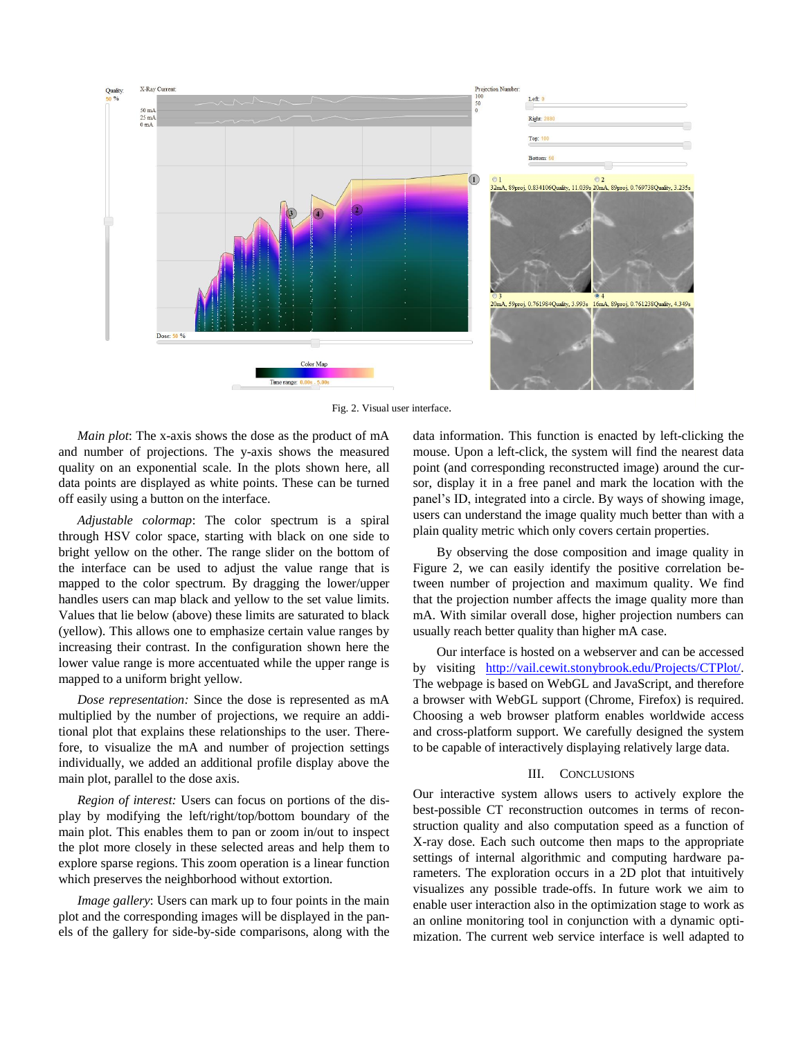

Fig. 2. Visual user interface.

*Main plot*: The x-axis shows the dose as the product of mA and number of projections. The y-axis shows the measured quality on an exponential scale. In the plots shown here, all data points are displayed as white points. These can be turned off easily using a button on the interface.

*Adjustable colormap*: The color spectrum is a spiral through HSV color space, starting with black on one side to bright yellow on the other. The range slider on the bottom of the interface can be used to adjust the value range that is mapped to the color spectrum. By dragging the lower/upper handles users can map black and yellow to the set value limits. Values that lie below (above) these limits are saturated to black (yellow). This allows one to emphasize certain value ranges by increasing their contrast. In the configuration shown here the lower value range is more accentuated while the upper range is mapped to a uniform bright yellow.

*Dose representation:* Since the dose is represented as mA multiplied by the number of projections, we require an additional plot that explains these relationships to the user. Therefore, to visualize the mA and number of projection settings individually, we added an additional profile display above the main plot, parallel to the dose axis.

*Region of interest:* Users can focus on portions of the display by modifying the left/right/top/bottom boundary of the main plot. This enables them to pan or zoom in/out to inspect the plot more closely in these selected areas and help them to explore sparse regions. This zoom operation is a linear function which preserves the neighborhood without extortion.

*Image gallery*: Users can mark up to four points in the main plot and the corresponding images will be displayed in the panels of the gallery for side-by-side comparisons, along with the data information. This function is enacted by left-clicking the mouse. Upon a left-click, the system will find the nearest data point (and corresponding reconstructed image) around the cursor, display it in a free panel and mark the location with the panel's ID, integrated into a circle. By ways of showing image, users can understand the image quality much better than with a plain quality metric which only covers certain properties.

By observing the dose composition and image quality in Figure 2, we can easily identify the positive correlation between number of projection and maximum quality. We find that the projection number affects the image quality more than mA. With similar overall dose, higher projection numbers can usually reach better quality than higher mA case.

Our interface is hosted on a webserver and can be accessed by visiting [http://vail.cewit.stonybrook.edu/Projects/CTPlot/.](http://vail.cewit.stonybrook.edu/Projects/CTPlot/) The webpage is based on WebGL and JavaScript, and therefore a browser with WebGL support (Chrome, Firefox) is required. Choosing a web browser platform enables worldwide access and cross-platform support. We carefully designed the system to be capable of interactively displaying relatively large data.

## III. CONCLUSIONS

Our interactive system allows users to actively explore the best-possible CT reconstruction outcomes in terms of reconstruction quality and also computation speed as a function of X-ray dose. Each such outcome then maps to the appropriate settings of internal algorithmic and computing hardware parameters. The exploration occurs in a 2D plot that intuitively visualizes any possible trade-offs. In future work we aim to enable user interaction also in the optimization stage to work as an online monitoring tool in conjunction with a dynamic optimization. The current web service interface is well adapted to